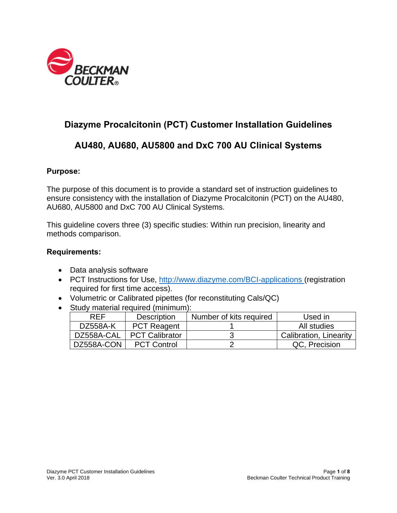

# **Diazyme Procalcitonin (PCT) Customer Installation Guidelines**

# **AU480, AU680, AU5800 and DxC 700 AU Clinical Systems**

#### **Purpose:**

The purpose of this document is to provide a standard set of instruction guidelines to ensure consistency with the installation of Diazyme Procalcitonin (PCT) on the AU480, AU680, AU5800 and DxC 700 AU Clinical Systems.

This guideline covers three (3) specific studies: Within run precision, linearity and methods comparison.

#### **Requirements:**

- Data analysis software
- PCT Instructions for Use, http://www.diazyme.com/BCI-applications (registration required for first time access).
- Volumetric or Calibrated pipettes (for reconstituting Cals/QC)
- Study material required (minimum):

| <b>RFF</b> | <b>Description</b>    | Number of kits required | Used in                       |
|------------|-----------------------|-------------------------|-------------------------------|
| DZ558A-K   | <b>PCT Reagent</b>    |                         | All studies                   |
| DZ558A-CAL | <b>PCT Calibrator</b> |                         | <b>Calibration, Linearity</b> |
| DZ558A-CON | <b>PCT Control</b>    |                         | QC, Precision                 |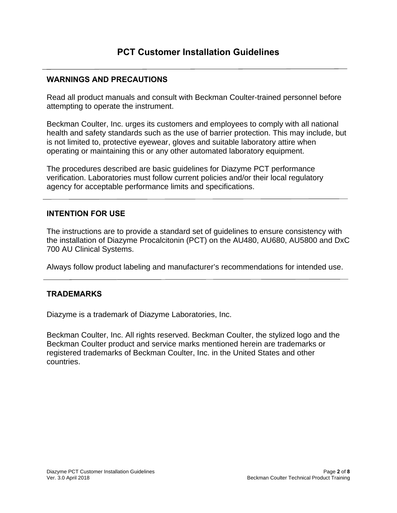## **WARNINGS AND PRECAUTIONS**

Read all product manuals and consult with Beckman Coulter-trained personnel before attempting to operate the instrument.

Beckman Coulter, Inc. urges its customers and employees to comply with all national health and safety standards such as the use of barrier protection. This may include, but is not limited to, protective eyewear, gloves and suitable laboratory attire when operating or maintaining this or any other automated laboratory equipment.

The procedures described are basic guidelines for Diazyme PCT performance verification. Laboratories must follow current policies and/or their local regulatory agency for acceptable performance limits and specifications.

## **INTENTION FOR USE**

The instructions are to provide a standard set of guidelines to ensure consistency with the installation of Diazyme Procalcitonin (PCT) on the AU480, AU680, AU5800 and DxC 700 AU Clinical Systems.

Always follow product labeling and manufacturer's recommendations for intended use.

## **TRADEMARKS**

Diazyme is a trademark of Diazyme Laboratories, Inc.

Beckman Coulter, Inc. All rights reserved. Beckman Coulter, the stylized logo and the Beckman Coulter product and service marks mentioned herein are trademarks or registered trademarks of Beckman Coulter, Inc. in the United States and other countries.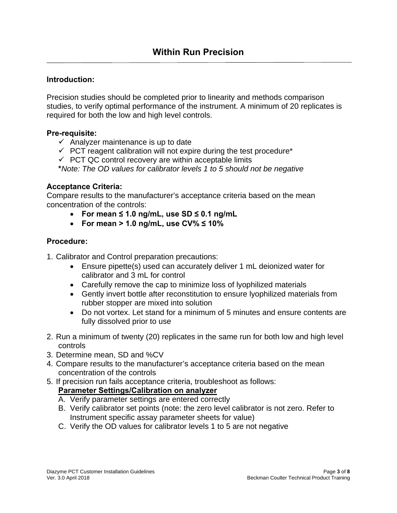## **Introduction:**

Precision studies should be completed prior to linearity and methods comparison studies, to verify optimal performance of the instrument. A minimum of 20 replicates is required for both the low and high level controls.

#### **Pre-requisite:**

- $\checkmark$  Analyzer maintenance is up to date
- $\checkmark$  PCT reagent calibration will not expire during the test procedure\*
- $\checkmark$  PCT QC control recovery are within acceptable limits
- **\****Note: The OD values for calibrator levels 1 to 5 should not be negative*

## **Acceptance Criteria:**

Compare results to the manufacturer's acceptance criteria based on the mean concentration of the controls:

- **For mean ≤ 1.0 ng/mL, use SD ≤ 0.1 ng/mL**
- **For mean > 1.0 ng/mL, use CV% ≤ 10%**

## **Procedure:**

- 1. Calibrator and Control preparation precautions:
	- Ensure pipette(s) used can accurately deliver 1 mL deionized water for calibrator and 3 mL for control
	- Carefully remove the cap to minimize loss of lyophilized materials
	- Gently invert bottle after reconstitution to ensure lyophilized materials from rubber stopper are mixed into solution
	- Do not vortex. Let stand for a minimum of 5 minutes and ensure contents are fully dissolved prior to use
- 2. Run a minimum of twenty (20) replicates in the same run for both low and high level controls
- 3. Determine mean, SD and %CV
- 4. Compare results to the manufacturer's acceptance criteria based on the mean concentration of the controls
- 5. If precision run fails acceptance criteria, troubleshoot as follows: **Parameter Settings/Calibration on analyzer** 
	- A. Verify parameter settings are entered correctly
	- B. Verify calibrator set points (note: the zero level calibrator is not zero. Refer to Instrument specific assay parameter sheets for value)
	- C. Verify the OD values for calibrator levels 1 to 5 are not negative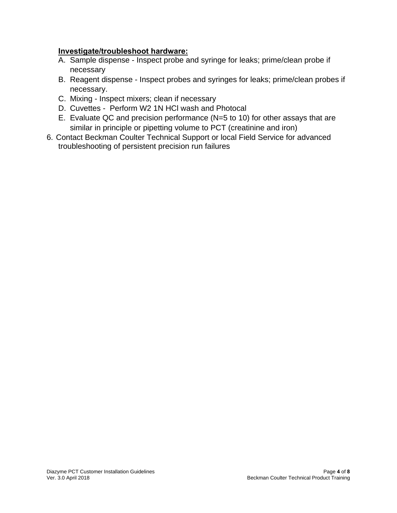## **Investigate/troubleshoot hardware:**

- A. Sample dispense Inspect probe and syringe for leaks; prime/clean probe if necessary
- B. Reagent dispense Inspect probes and syringes for leaks; prime/clean probes if necessary.
- C. Mixing Inspect mixers; clean if necessary
- D. Cuvettes Perform W2 1N HCl wash and Photocal
- E. Evaluate QC and precision performance (N=5 to 10) for other assays that are similar in principle or pipetting volume to PCT (creatinine and iron)
- 6. Contact Beckman Coulter Technical Support or local Field Service for advanced troubleshooting of persistent precision run failures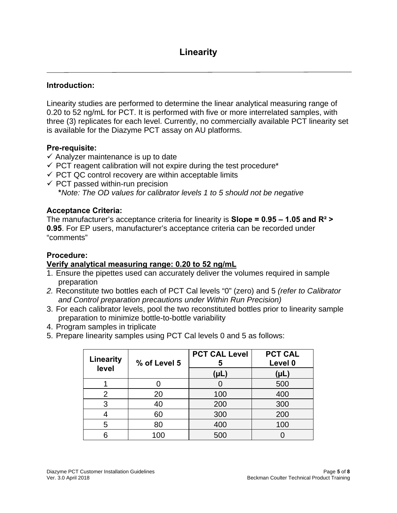## **Introduction:**

Linearity studies are performed to determine the linear analytical measuring range of 0.20 to 52 ng/mL for PCT. It is performed with five or more interrelated samples, with three (3) replicates for each level. Currently, no commercially available PCT linearity set is available for the Diazyme PCT assay on AU platforms.

## **Pre-requisite:**

- $\checkmark$  Analyzer maintenance is up to date
- $\checkmark$  PCT reagent calibration will not expire during the test procedure\*
- $\checkmark$  PCT QC control recovery are within acceptable limits
- $\checkmark$  PCT passed within-run precision **\****Note: The OD values for calibrator levels 1 to 5 should not be negative*

## **Acceptance Criteria:**

The manufacturer's acceptance criteria for linearity is **Slope = 0.95 – 1.05 and R² > 0.95**. For EP users, manufacturer's acceptance criteria can be recorded under "comments"

## **Procedure:**

#### **Verify analytical measuring range: 0.20 to 52 ng/mL**

- 1. Ensure the pipettes used can accurately deliver the volumes required in sample preparation
- *2.* Reconstitute two bottles each of PCT Cal levels "0" (zero) and 5 *(refer to Calibrator and Control preparation precautions under Within Run Precision)*
- 3. For each calibrator levels, pool the two reconstituted bottles prior to linearity sample preparation to minimize bottle-to-bottle variability
- 4. Program samples in triplicate
- 5. Prepare linearity samples using PCT Cal levels 0 and 5 as follows:

| <b>Linearity</b><br>level | % of Level 5 | <b>PCT CAL Level</b><br>5 | <b>PCT CAL</b><br>Level 0 |
|---------------------------|--------------|---------------------------|---------------------------|
|                           |              | (PL)                      | (µL)                      |
|                           |              |                           | 500                       |
| 2                         | 20           | 100                       | 400                       |
| 3                         | 40           | 200                       | 300                       |
|                           | 60           | 300                       | 200                       |
| 5                         | 80           | 400                       | 100                       |
|                           | 100          | 500                       |                           |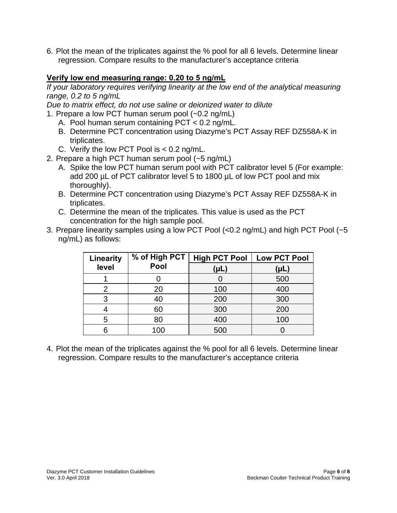6. Plot the mean of the triplicates against the % pool for all 6 levels. Determine linear regression. Compare results to the manufacturer's acceptance criteria

## **Verify low end measuring range: 0.20 to 5 ng/mL**

*If your laboratory requires verifying linearity at the low end of the analytical measuring range, 0.2 to 5 ng/mL* 

*Due to matrix effect, do not use saline or deionized water to dilute* 

- 1. Prepare a low PCT human serum pool (~0.2 ng/mL)
	- A. Pool human serum containing PCT < 0.2 ng/mL.
	- B. Determine PCT concentration using Diazyme's PCT Assay REF DZ558A-K in triplicates.
	- C. Verify the low PCT Pool is < 0.2 ng/mL.
- 2. Prepare a high PCT human serum pool (~5 ng/mL)
	- A. Spike the low PCT human serum pool with PCT calibrator level 5 (For example: add 200 µL of PCT calibrator level 5 to 1800 µL of low PCT pool and mix thoroughly).
	- B. Determine PCT concentration using Diazyme's PCT Assay REF DZ558A-K in triplicates.
	- C. Determine the mean of the triplicates. This value is used as the PCT concentration for the high sample pool.

| 3. Prepare linearity samples using a low PCT Pool (<0.2 ng/mL) and high PCT Pool (~5 |
|--------------------------------------------------------------------------------------|
| ng/mL) as follows:                                                                   |

| Linearity | % of High PCT | <b>High PCT Pool</b> | <b>Low PCT Pool</b> |
|-----------|---------------|----------------------|---------------------|
| level     | Pool          | (µL)                 | (µL)                |
|           |               |                      | 500                 |
| 2         | 20            | 100                  | 400                 |
| 3         | 40            | 200                  | 300                 |
|           | 60            | 300                  | 200                 |
| 5         | 80            | 400                  | 100                 |
|           | 100           | 500                  |                     |

4. Plot the mean of the triplicates against the % pool for all 6 levels. Determine linear regression. Compare results to the manufacturer's acceptance criteria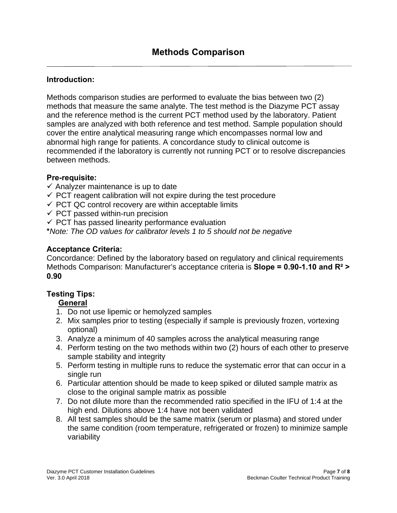## **Introduction:**

Methods comparison studies are performed to evaluate the bias between two (2) methods that measure the same analyte. The test method is the Diazyme PCT assay and the reference method is the current PCT method used by the laboratory. Patient samples are analyzed with both reference and test method. Sample population should cover the entire analytical measuring range which encompasses normal low and abnormal high range for patients. A concordance study to clinical outcome is recommended if the laboratory is currently not running PCT or to resolve discrepancies between methods.

## **Pre-requisite:**

- $\checkmark$  Analyzer maintenance is up to date
- $\checkmark$  PCT reagent calibration will not expire during the test procedure
- $\checkmark$  PCT QC control recovery are within acceptable limits
- $\checkmark$  PCT passed within-run precision
- $\checkmark$  PCT has passed linearity performance evaluation

**\****Note: The OD values for calibrator levels 1 to 5 should not be negative*

## **Acceptance Criteria:**

Concordance: Defined by the laboratory based on regulatory and clinical requirements Methods Comparison: Manufacturer's acceptance criteria is **Slope = 0.90-1.10 and R² > 0.90**

# **Testing Tips:**

#### **General**

- 1. Do not use lipemic or hemolyzed samples
- 2. Mix samples prior to testing (especially if sample is previously frozen, vortexing optional)
- 3. Analyze a minimum of 40 samples across the analytical measuring range
- 4. Perform testing on the two methods within two (2) hours of each other to preserve sample stability and integrity
- 5. Perform testing in multiple runs to reduce the systematic error that can occur in a single run
- 6. Particular attention should be made to keep spiked or diluted sample matrix as close to the original sample matrix as possible
- 7. Do not dilute more than the recommended ratio specified in the IFU of 1:4 at the high end. Dilutions above 1:4 have not been validated
- 8. All test samples should be the same matrix (serum or plasma) and stored under the same condition (room temperature, refrigerated or frozen) to minimize sample variability